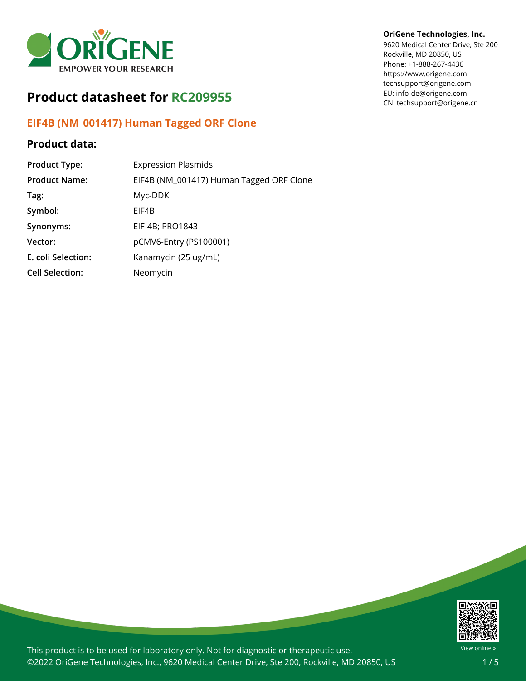

# **Product datasheet for RC209955**

## **EIF4B (NM\_001417) Human Tagged ORF Clone**

## **Product data:**

| <b>Product Type:</b>   | <b>Expression Plasmids</b>               |
|------------------------|------------------------------------------|
| <b>Product Name:</b>   | EIF4B (NM_001417) Human Tagged ORF Clone |
| Tag:                   | Myc-DDK                                  |
| Symbol:                | EIF4B                                    |
| Synonyms:              | EIF-4B; PRO1843                          |
| Vector:                | pCMV6-Entry (PS100001)                   |
| E. coli Selection:     | Kanamycin (25 ug/mL)                     |
| <b>Cell Selection:</b> | Neomycin                                 |

#### **OriGene Technologies, Inc.**

9620 Medical Center Drive, Ste 200 Rockville, MD 20850, US Phone: +1-888-267-4436 https://www.origene.com techsupport@origene.com EU: info-de@origene.com CN: techsupport@origene.cn



This product is to be used for laboratory only. Not for diagnostic or therapeutic use. ©2022 OriGene Technologies, Inc., 9620 Medical Center Drive, Ste 200, Rockville, MD 20850, US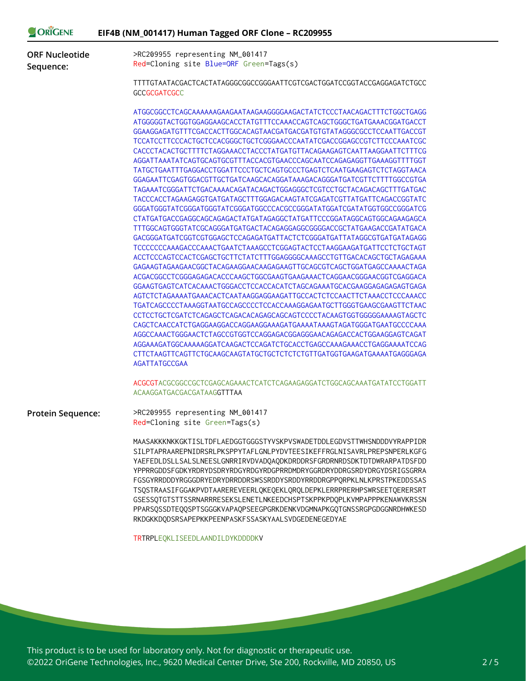| ORIGENE                            | EIF4B (NM_001417) Human Tagged ORF Clone - RC209955                                                                                                                                                                                                                                                                                                                                                                                                                                                                                                                                                                                                                                                                                                                                                                                                                                                                                                                                                                                                                                                                                                                                                                                                                                                                                                                                                                                                                                                                                                                                                                                                                                                                                                                                 |
|------------------------------------|-------------------------------------------------------------------------------------------------------------------------------------------------------------------------------------------------------------------------------------------------------------------------------------------------------------------------------------------------------------------------------------------------------------------------------------------------------------------------------------------------------------------------------------------------------------------------------------------------------------------------------------------------------------------------------------------------------------------------------------------------------------------------------------------------------------------------------------------------------------------------------------------------------------------------------------------------------------------------------------------------------------------------------------------------------------------------------------------------------------------------------------------------------------------------------------------------------------------------------------------------------------------------------------------------------------------------------------------------------------------------------------------------------------------------------------------------------------------------------------------------------------------------------------------------------------------------------------------------------------------------------------------------------------------------------------------------------------------------------------------------------------------------------------|
| <b>ORF Nucleotide</b><br>Sequence: | >RC209955 representing NM_001417<br>Red=Cloning site Blue=ORF Green=Tags(s)                                                                                                                                                                                                                                                                                                                                                                                                                                                                                                                                                                                                                                                                                                                                                                                                                                                                                                                                                                                                                                                                                                                                                                                                                                                                                                                                                                                                                                                                                                                                                                                                                                                                                                         |
|                                    | TTTTGTAATACGACTCACTATAGGGCGGCCGGGAATTCGTCGACTGGATCCGGTACCGAGGAGATCTGCC<br><b>GCCGCGATCGCC</b>                                                                                                                                                                                                                                                                                                                                                                                                                                                                                                                                                                                                                                                                                                                                                                                                                                                                                                                                                                                                                                                                                                                                                                                                                                                                                                                                                                                                                                                                                                                                                                                                                                                                                       |
|                                    | ATGGCGGCCTCAGCAAAAAAGAAGAATAAGAAGGGGAAGACTATCTCCCTAACAGACTTTCTGGCTGAGG<br>ATGGGGGTACTGGTGGAGGAAGCACCTATGTTTCCAAACCAGTCAGCTGGGCTGATGAAACGGATGACCT<br>GGAAGGAGATGTTTCGACCACTTGGCACAGTAACGATGACGATGTGTATAGGGCGCCTCCAATTGACCGT<br>TCCATCCTTCCCACTGCTCCACGGGCTGCTCGGGAACCCAATATCGACCGGAGCCGTCTTCCCAAATCGC<br>CACCCTACACTGCTTTTCTAGGAAACCTACCCTATGATGTTACAGAAGAGTCAATTAAGGAATTCTTTCG<br>AGGATTAAATATCAGTGCAGTGCGTTTACCACGTGAACCCAGCAATCCAGAGAGGTTGAAAGGTTTTGGT<br>TATGCTGAATTTGAGGACCTGGATTCCCTGCTCAGTGCCCTGAGTCTCAATGAAGAGTCTCTAGGTAACA<br>GGAGAATTCGAGTGGACGTTGCTGATCAAGCACAGGATAAAGACAGGGATGATCGTTCTTTTGGCCGTGA<br>TACCCACCTAGAAGAGGTGATGATAGCTTTGGAGACAAGTATCGAGATCGTTATGATTCAGACCGGTATC<br>GGGATGGGTATCGGGATGGGTATCGGGATGGCCCACGCCGGGATATGGATCGATATGGTGGCCGGGATCG<br>CTATGATGACCGAGGCAGCAGAGACTATGATAGAGGCTATGATTCCCGGATAGGCAGTGGCAGAAGAGCA<br>TTTGGCAGTGGGTATCGCAGGGATGATGACTACAGAGGAGGCGGGGACCGCTATGAAGACCGATATGACA<br>GACGGGATGATCGGTCGTGGAGCTCCAGAGATGATTACTCTCGGGATGATTATAGGCGTGATGATAGAGG<br>TCCCCCCCAAAGACCCAAACTGAATCTAAAGCCTCGGAGTACTCCTAAGGAAGATGATTCCTCTGCTAGT<br>ACCTCCCAGTCCACTCGAGCTGCTTCTATCTTTGGAGGGGCAAAGCCTGTTGACACAGCTGCTAGAGAAA<br>GAGAAGTAGAAGAACGGCTACAGAAGGAACAAGAGAAGTTGCAGCGTCAGCTGGATGAGCCAAAACTAGA<br>ACGACGGCCTCGGGAGAGACACCCAAGCTGGCGAAGTGAAGAAACTCAGGAACGGGAACGGTCGAGGACA<br>AGTCTCTAGAAAATGAAACACTCAATAAGGAGGAAGATTGCCACTCTCCAACTTCTAAACCTCCCAAACC<br>TGATCAGCCCCTAAAGGTAATGCCAGCCCCTCCACCAAAGGAGAATGCTTGGGTGAAGCGAAGTTCTAAC<br>CCTCCTGCTCGATCTCAGAGCTCAGACACAGAGCAGCAGTCCCCTACAAGTGGTGGGGGAAAAGTAGCTC<br>CAGCTCAACCATCTGAGGAAGGACCAGGAAGGAAAGATGAAAATAAAGTAGATGGGATGAATGCCCCAAA<br>AGGCCAAACTGGGAACTCTAGCCGTGGTCCAGGAGACGGAGGGAACAGAGACCACTGGAAGGAGTCAGAT<br>AGGAAAGATGGCAAAAAGGATCAAGACTCCAGATCTGCACCTGAGCCAAAGAAACCTGAGGAAAATCCAG<br>AGATTATGCCGAA |
|                                    | ACGCGTACGCGGCCGCTCGAGCAGAAACTCATCTCAGAAGAGGATCTGGCAGCAAATGATATCCTGGATT<br>ACAAGGATGACGACGATAAGGTTTAA                                                                                                                                                                                                                                                                                                                                                                                                                                                                                                                                                                                                                                                                                                                                                                                                                                                                                                                                                                                                                                                                                                                                                                                                                                                                                                                                                                                                                                                                                                                                                                                                                                                                                |
| <b>Protein Sequence:</b>           | >RC209955 representing NM_001417<br>Red=Cloning site Green=Tags(s)                                                                                                                                                                                                                                                                                                                                                                                                                                                                                                                                                                                                                                                                                                                                                                                                                                                                                                                                                                                                                                                                                                                                                                                                                                                                                                                                                                                                                                                                                                                                                                                                                                                                                                                  |
|                                    | MAASAKKKNKKGKTISLTDFLAEDGGTGGGSTYVSKPVSWADETDDLEGDVSTTWHSNDDDVYRAPPIDR<br>SILPTAPRAAREPNIDRSRLPKSPPYTAFLGNLPYDVTEESIKEFFRGLNISAVRLPREPSNPERLKGFG<br>YAEFEDLDSLLSALSLNEESLGNRRIRVDVADQAQDKDRDDRSFGRDRNRDSDKTDTDWRARPATDSFDD<br>YPPRRGDDSFGDKYRDRYDSDRYRDGYRDGYRDGPRRDMDRYGGRDRYDDRGSRDYDRGYDSRIGSGRRA<br>FGSGYRRDDDYRGGGDRYEDRYDRRDDRSWSSRDDYSRDDYRRDDRGPPQRPKLNLKPRSTPKEDDSSAS<br>TSQSTRAASIFGGAKPVDTAAREREVEERLQKEQEKLQRQLDEPKLERRPRERHPSWRSEETQERERSRT<br>GSESSQTGTSTTSSRNARRRESEKSLENETLNKEEDCHSPTSKPPKPDQPLKVMPAPPPKENAWVKRSSN<br>PPARSQSSDTEQQSPTSGGGKVAPAQPSEEGPGRKDENKVDGMNAPKGQTGNSSRGPGDGGNRDHWKESD<br>RKDGKKDQDSRSAPEPKKPEENPASKFSSASKYAALSVDGEDENEGEDYAE                                                                                                                                                                                                                                                                                                                                                                                                                                                                                                                                                                                                                                                                                                                                                                                                                                                                                                                                                                                                                                                                                                                 |

TRTRPLEQKLISEEDLAANDILDYKDDDDKV

**COPICENE** 

This product is to be used for laboratory only. Not for diagnostic or therapeutic use. ©2022 OriGene Technologies, Inc., 9620 Medical Center Drive, Ste 200, Rockville, MD 20850, US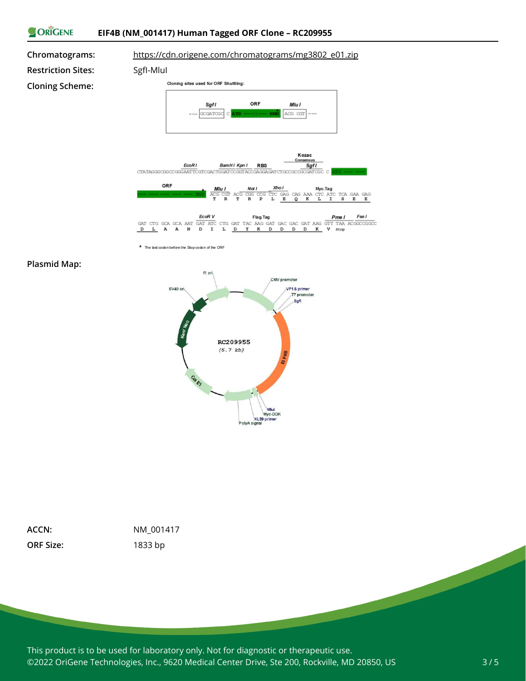

The last codon before the Stop codon of the ORF

#### **Plasmid Map:**



| ACCN:            |
|------------------|
| <b>ORF Size:</b> |

**ACCN:** NM\_001417 **ORF Size:** 1833 bp

This product is to be used for laboratory only. Not for diagnostic or therapeutic use. ©2022 OriGene Technologies, Inc., 9620 Medical Center Drive, Ste 200, Rockville, MD 20850, US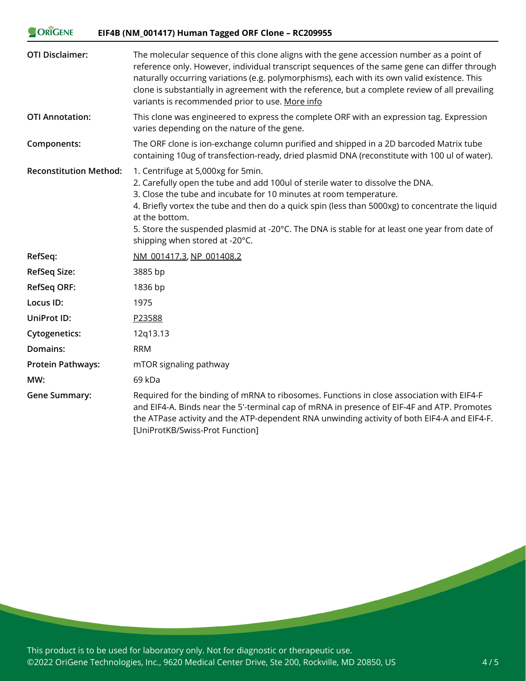| ORIGENE<br>EIF4B (NM_001417) Human Tagged ORF Clone - RC209955 |                                                                                                                                                                                                                                                                                                                                                                                                                                                     |
|----------------------------------------------------------------|-----------------------------------------------------------------------------------------------------------------------------------------------------------------------------------------------------------------------------------------------------------------------------------------------------------------------------------------------------------------------------------------------------------------------------------------------------|
| <b>OTI Disclaimer:</b>                                         | The molecular sequence of this clone aligns with the gene accession number as a point of<br>reference only. However, individual transcript sequences of the same gene can differ through<br>naturally occurring variations (e.g. polymorphisms), each with its own valid existence. This<br>clone is substantially in agreement with the reference, but a complete review of all prevailing<br>variants is recommended prior to use. More info      |
| <b>OTI Annotation:</b>                                         | This clone was engineered to express the complete ORF with an expression tag. Expression<br>varies depending on the nature of the gene.                                                                                                                                                                                                                                                                                                             |
| Components:                                                    | The ORF clone is ion-exchange column purified and shipped in a 2D barcoded Matrix tube<br>containing 10ug of transfection-ready, dried plasmid DNA (reconstitute with 100 ul of water).                                                                                                                                                                                                                                                             |
| <b>Reconstitution Method:</b>                                  | 1. Centrifuge at 5,000xg for 5min.<br>2. Carefully open the tube and add 100ul of sterile water to dissolve the DNA.<br>3. Close the tube and incubate for 10 minutes at room temperature.<br>4. Briefly vortex the tube and then do a quick spin (less than 5000xg) to concentrate the liquid<br>at the bottom.<br>5. Store the suspended plasmid at -20°C. The DNA is stable for at least one year from date of<br>shipping when stored at -20°C. |
| RefSeq:                                                        | NM 001417.3, NP 001408.2                                                                                                                                                                                                                                                                                                                                                                                                                            |
| <b>RefSeq Size:</b>                                            | 3885 bp                                                                                                                                                                                                                                                                                                                                                                                                                                             |
| <b>RefSeq ORF:</b>                                             | 1836 bp                                                                                                                                                                                                                                                                                                                                                                                                                                             |
| Locus ID:                                                      | 1975                                                                                                                                                                                                                                                                                                                                                                                                                                                |
| UniProt ID:                                                    | P23588                                                                                                                                                                                                                                                                                                                                                                                                                                              |
| <b>Cytogenetics:</b>                                           | 12q13.13                                                                                                                                                                                                                                                                                                                                                                                                                                            |
| Domains:                                                       | <b>RRM</b>                                                                                                                                                                                                                                                                                                                                                                                                                                          |
| <b>Protein Pathways:</b>                                       | mTOR signaling pathway                                                                                                                                                                                                                                                                                                                                                                                                                              |
| MW:                                                            | 69 kDa                                                                                                                                                                                                                                                                                                                                                                                                                                              |
| <b>Gene Summary:</b>                                           | Required for the binding of mRNA to ribosomes. Functions in close association with EIF4-F<br>and EIF4-A. Binds near the 5'-terminal cap of mRNA in presence of EIF-4F and ATP. Promotes<br>the ATPase activity and the ATP-dependent RNA unwinding activity of both EIF4-A and EIF4-F.<br>[UniProtKB/Swiss-Prot Function]                                                                                                                           |

This product is to be used for laboratory only. Not for diagnostic or therapeutic use. ©2022 OriGene Technologies, Inc., 9620 Medical Center Drive, Ste 200, Rockville, MD 20850, US